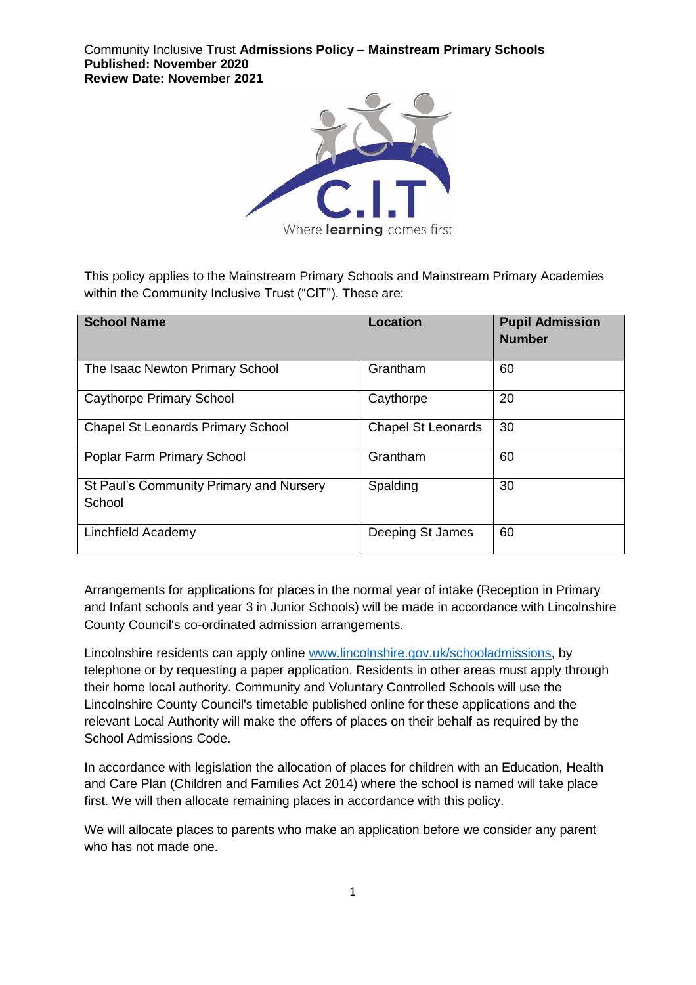Community Inclusive Trust **Admissions Policy – Mainstream Primary Schools Published: November 2020 Review Date: November 2021**



This policy applies to the Mainstream Primary Schools and Mainstream Primary Academies within the Community Inclusive Trust ("CIT"). These are:

| <b>School Name</b>                                | <b>Location</b>           | <b>Pupil Admission</b><br><b>Number</b> |
|---------------------------------------------------|---------------------------|-----------------------------------------|
| The Isaac Newton Primary School                   | Grantham                  | 60                                      |
| <b>Caythorpe Primary School</b>                   | Caythorpe                 | 20                                      |
| <b>Chapel St Leonards Primary School</b>          | <b>Chapel St Leonards</b> | 30                                      |
| Poplar Farm Primary School                        | Grantham                  | 60                                      |
| St Paul's Community Primary and Nursery<br>School | Spalding                  | 30                                      |
| Linchfield Academy                                | Deeping St James          | 60                                      |

Arrangements for applications for places in the normal year of intake (Reception in Primary and Infant schools and year 3 in Junior Schools) will be made in accordance with Lincolnshire County Council's co‐ordinated admission arrangements.

Lincolnshire residents can apply online [www.lincolnshire.gov.uk/schooladmissions,](http://www.lincolnshire.gov.uk/schooladmissions) by telephone or by requesting a paper application. Residents in other areas must apply through their home local authority. Community and Voluntary Controlled Schools will use the Lincolnshire County Council's timetable published online for these applications and the relevant Local Authority will make the offers of places on their behalf as required by the School Admissions Code.

In accordance with legislation the allocation of places for children with an Education, Health and Care Plan (Children and Families Act 2014) where the school is named will take place first. We will then allocate remaining places in accordance with this policy.

We will allocate places to parents who make an application before we consider any parent who has not made one.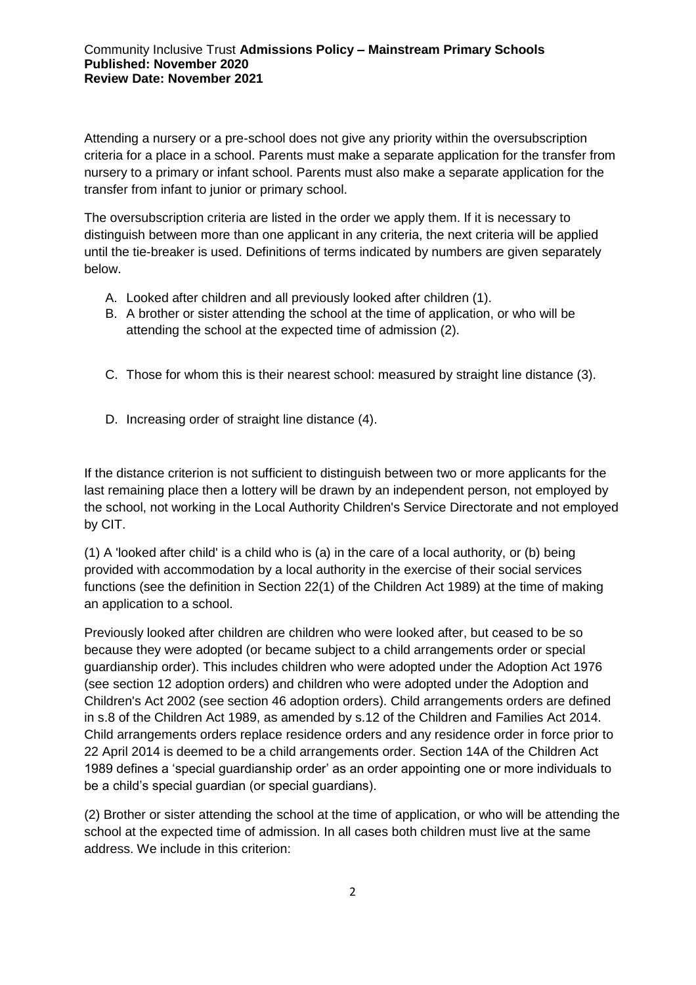Attending a nursery or a pre-school does not give any priority within the oversubscription criteria for a place in a school. Parents must make a separate application for the transfer from nursery to a primary or infant school. Parents must also make a separate application for the transfer from infant to junior or primary school.

The oversubscription criteria are listed in the order we apply them. If it is necessary to distinguish between more than one applicant in any criteria, the next criteria will be applied until the tie-breaker is used. Definitions of terms indicated by numbers are given separately below.

- A. Looked after children and all previously looked after children (1).
- B. A brother or sister attending the school at the time of application, or who will be attending the school at the expected time of admission (2).
- C. Those for whom this is their nearest school: measured by straight line distance (3).
- D. Increasing order of straight line distance (4).

If the distance criterion is not sufficient to distinguish between two or more applicants for the last remaining place then a lottery will be drawn by an independent person, not employed by the school, not working in the Local Authority Children's Service Directorate and not employed by CIT.

(1) A 'looked after child' is a child who is (a) in the care of a local authority, or (b) being provided with accommodation by a local authority in the exercise of their social services functions (see the definition in Section 22(1) of the Children Act 1989) at the time of making an application to a school.

Previously looked after children are children who were looked after, but ceased to be so because they were adopted (or became subject to a child arrangements order or special guardianship order). This includes children who were adopted under the Adoption Act 1976 (see section 12 adoption orders) and children who were adopted under the Adoption and Children's Act 2002 (see section 46 adoption orders). Child arrangements orders are defined in s.8 of the Children Act 1989, as amended by s.12 of the Children and Families Act 2014. Child arrangements orders replace residence orders and any residence order in force prior to 22 April 2014 is deemed to be a child arrangements order. Section 14A of the Children Act 1989 defines a 'special guardianship order' as an order appointing one or more individuals to be a child's special guardian (or special guardians).

(2) Brother or sister attending the school at the time of application, or who will be attending the school at the expected time of admission. In all cases both children must live at the same address. We include in this criterion: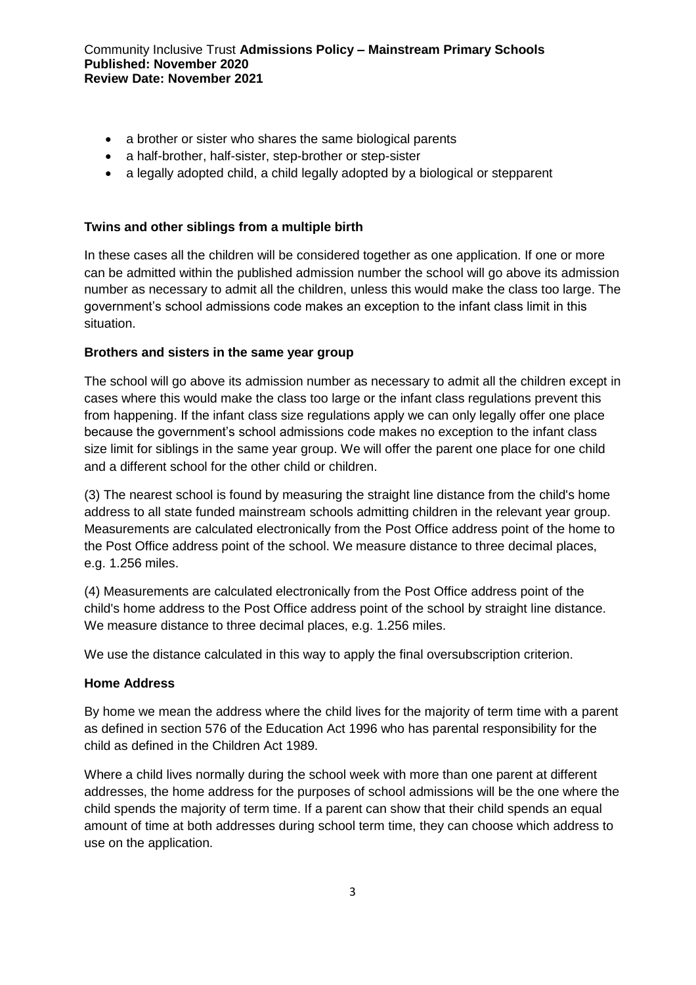- a brother or sister who shares the same biological parents
- a half-brother, half-sister, step-brother or step-sister
- a legally adopted child, a child legally adopted by a biological or stepparent

## **Twins and other siblings from a multiple birth**

In these cases all the children will be considered together as one application. If one or more can be admitted within the published admission number the school will go above its admission number as necessary to admit all the children, unless this would make the class too large. The government's school admissions code makes an exception to the infant class limit in this situation.

## **Brothers and sisters in the same year group**

The school will go above its admission number as necessary to admit all the children except in cases where this would make the class too large or the infant class regulations prevent this from happening. If the infant class size regulations apply we can only legally offer one place because the government's school admissions code makes no exception to the infant class size limit for siblings in the same year group. We will offer the parent one place for one child and a different school for the other child or children.

(3) The nearest school is found by measuring the straight line distance from the child's home address to all state funded mainstream schools admitting children in the relevant year group. Measurements are calculated electronically from the Post Office address point of the home to the Post Office address point of the school. We measure distance to three decimal places, e.g. 1.256 miles.

(4) Measurements are calculated electronically from the Post Office address point of the child's home address to the Post Office address point of the school by straight line distance. We measure distance to three decimal places, e.g. 1.256 miles.

We use the distance calculated in this way to apply the final oversubscription criterion.

## **Home Address**

By home we mean the address where the child lives for the majority of term time with a parent as defined in section 576 of the Education Act 1996 who has parental responsibility for the child as defined in the Children Act 1989.

Where a child lives normally during the school week with more than one parent at different addresses, the home address for the purposes of school admissions will be the one where the child spends the majority of term time. If a parent can show that their child spends an equal amount of time at both addresses during school term time, they can choose which address to use on the application.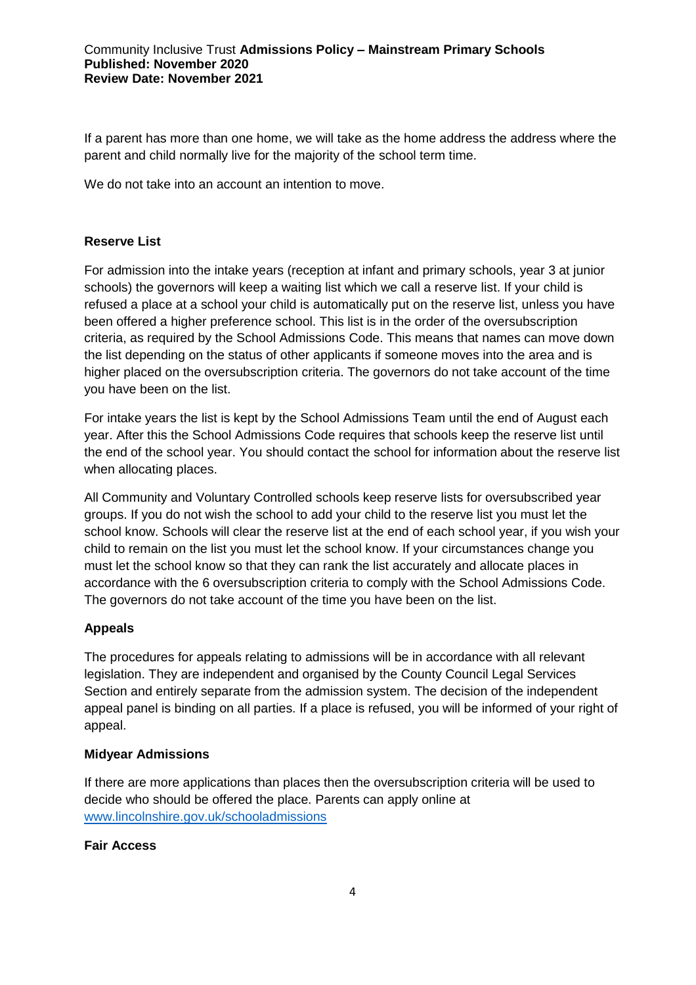If a parent has more than one home, we will take as the home address the address where the parent and child normally live for the majority of the school term time.

We do not take into an account an intention to move.

### **Reserve List**

For admission into the intake years (reception at infant and primary schools, year 3 at junior schools) the governors will keep a waiting list which we call a reserve list. If your child is refused a place at a school your child is automatically put on the reserve list, unless you have been offered a higher preference school. This list is in the order of the oversubscription criteria, as required by the School Admissions Code. This means that names can move down the list depending on the status of other applicants if someone moves into the area and is higher placed on the oversubscription criteria. The governors do not take account of the time you have been on the list.

For intake years the list is kept by the School Admissions Team until the end of August each year. After this the School Admissions Code requires that schools keep the reserve list until the end of the school year. You should contact the school for information about the reserve list when allocating places.

All Community and Voluntary Controlled schools keep reserve lists for oversubscribed year groups. If you do not wish the school to add your child to the reserve list you must let the school know. Schools will clear the reserve list at the end of each school year, if you wish your child to remain on the list you must let the school know. If your circumstances change you must let the school know so that they can rank the list accurately and allocate places in accordance with the 6 oversubscription criteria to comply with the School Admissions Code. The governors do not take account of the time you have been on the list.

## **Appeals**

The procedures for appeals relating to admissions will be in accordance with all relevant legislation. They are independent and organised by the County Council Legal Services Section and entirely separate from the admission system. The decision of the independent appeal panel is binding on all parties. If a place is refused, you will be informed of your right of appeal.

#### **Midyear Admissions**

If there are more applications than places then the oversubscription criteria will be used to decide who should be offered the place. Parents can apply online at [www.lincolnshire.gov.uk/schooladmissions](http://www.lincolnshire.gov.uk/schooladmissions) 

#### **Fair Access**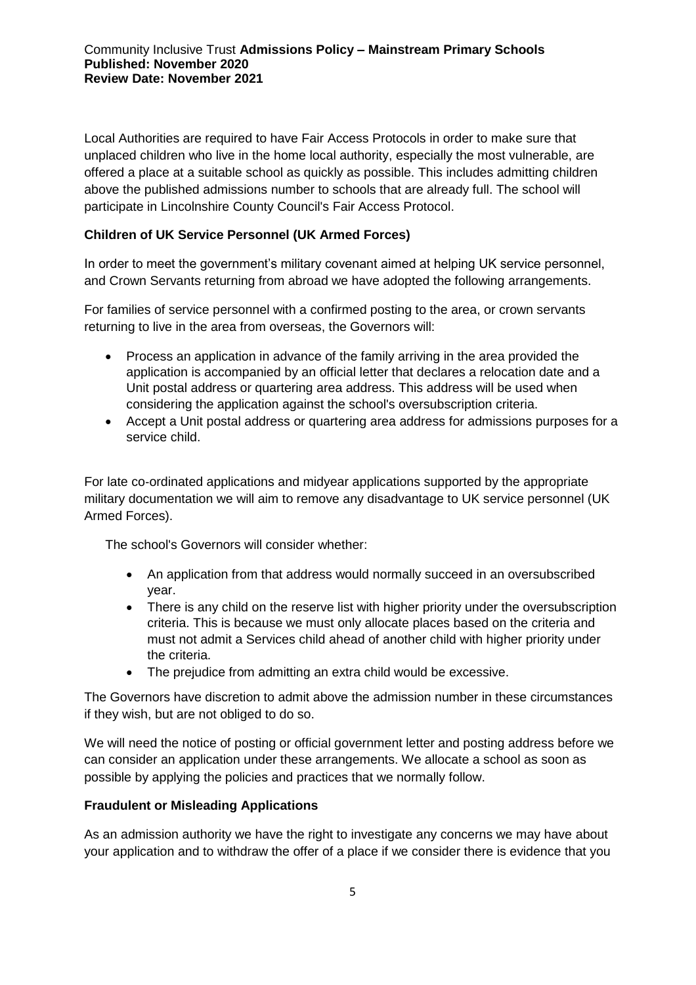Local Authorities are required to have Fair Access Protocols in order to make sure that unplaced children who live in the home local authority, especially the most vulnerable, are offered a place at a suitable school as quickly as possible. This includes admitting children above the published admissions number to schools that are already full. The school will participate in Lincolnshire County Council's Fair Access Protocol.

# **Children of UK Service Personnel (UK Armed Forces)**

In order to meet the government's military covenant aimed at helping UK service personnel, and Crown Servants returning from abroad we have adopted the following arrangements.

For families of service personnel with a confirmed posting to the area, or crown servants returning to live in the area from overseas, the Governors will:

- Process an application in advance of the family arriving in the area provided the application is accompanied by an official letter that declares a relocation date and a Unit postal address or quartering area address. This address will be used when considering the application against the school's oversubscription criteria.
- Accept a Unit postal address or quartering area address for admissions purposes for a service child.

For late co-ordinated applications and midyear applications supported by the appropriate military documentation we will aim to remove any disadvantage to UK service personnel (UK Armed Forces).

The school's Governors will consider whether:

- An application from that address would normally succeed in an oversubscribed year.
- There is any child on the reserve list with higher priority under the oversubscription criteria. This is because we must only allocate places based on the criteria and must not admit a Services child ahead of another child with higher priority under the criteria.
- The prejudice from admitting an extra child would be excessive.

The Governors have discretion to admit above the admission number in these circumstances if they wish, but are not obliged to do so.

We will need the notice of posting or official government letter and posting address before we can consider an application under these arrangements. We allocate a school as soon as possible by applying the policies and practices that we normally follow.

## **Fraudulent or Misleading Applications**

As an admission authority we have the right to investigate any concerns we may have about your application and to withdraw the offer of a place if we consider there is evidence that you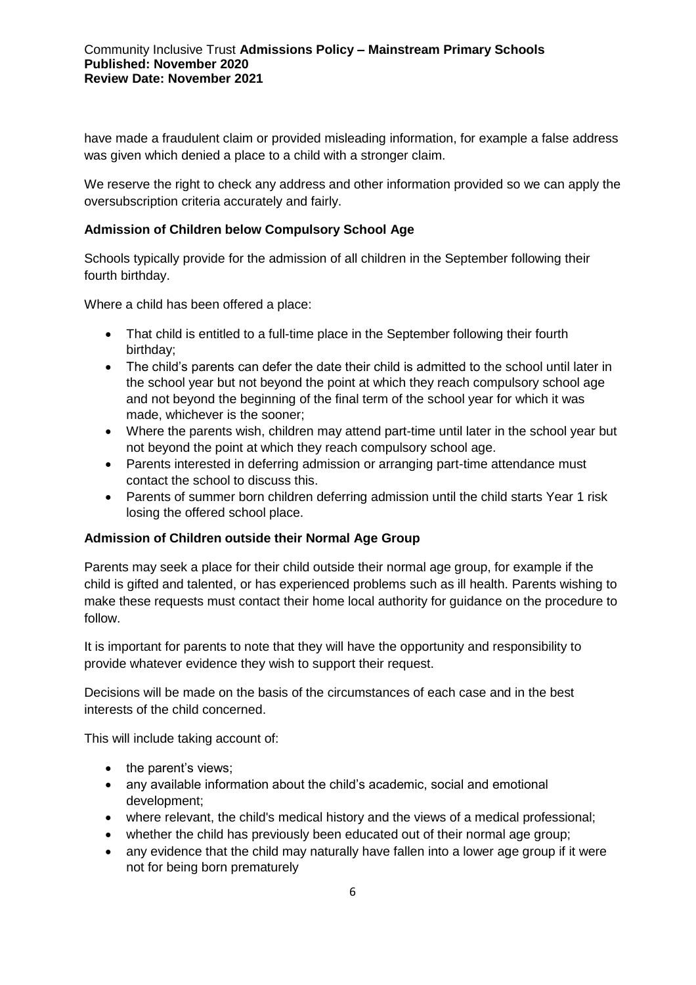have made a fraudulent claim or provided misleading information, for example a false address was given which denied a place to a child with a stronger claim.

We reserve the right to check any address and other information provided so we can apply the oversubscription criteria accurately and fairly.

## **Admission of Children below Compulsory School Age**

Schools typically provide for the admission of all children in the September following their fourth birthday.

Where a child has been offered a place:

- That child is entitled to a full-time place in the September following their fourth birthday;
- The child's parents can defer the date their child is admitted to the school until later in the school year but not beyond the point at which they reach compulsory school age and not beyond the beginning of the final term of the school year for which it was made, whichever is the sooner;
- Where the parents wish, children may attend part-time until later in the school year but not beyond the point at which they reach compulsory school age.
- Parents interested in deferring admission or arranging part-time attendance must contact the school to discuss this.
- Parents of summer born children deferring admission until the child starts Year 1 risk losing the offered school place.

## **Admission of Children outside their Normal Age Group**

Parents may seek a place for their child outside their normal age group, for example if the child is gifted and talented, or has experienced problems such as ill health. Parents wishing to make these requests must contact their home local authority for guidance on the procedure to follow.

It is important for parents to note that they will have the opportunity and responsibility to provide whatever evidence they wish to support their request.

Decisions will be made on the basis of the circumstances of each case and in the best interests of the child concerned.

This will include taking account of:

- the parent's views;
- any available information about the child's academic, social and emotional development;
- where relevant, the child's medical history and the views of a medical professional;
- whether the child has previously been educated out of their normal age group;
- any evidence that the child may naturally have fallen into a lower age group if it were not for being born prematurely